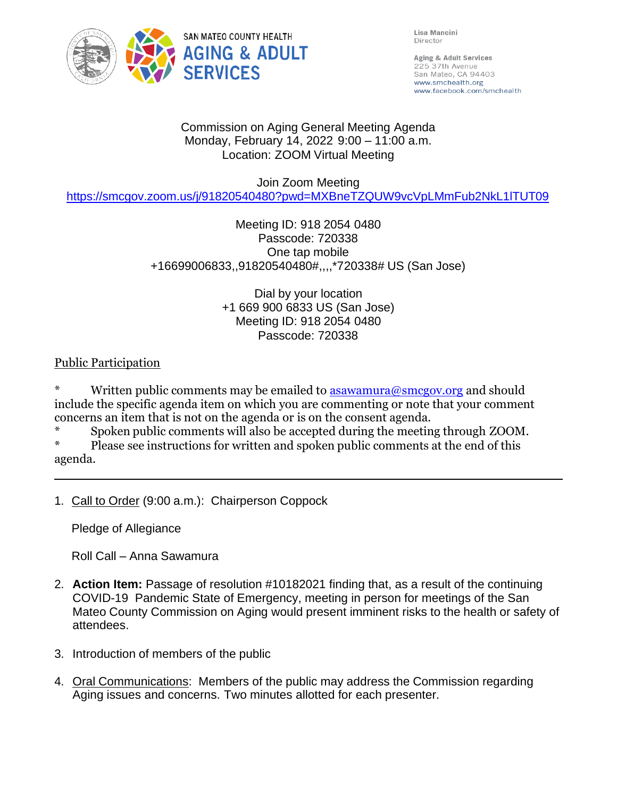

Lisa Mancini Director

Aging & Adult Services 225 37th Avenue San Mateo, CA 94403 www.smchealth.org www.facebook.com/smchealth

#### Commission on Aging General Meeting Agenda Monday, February 14, 2022 9:00 – 11:00 a.m. Location: ZOOM Virtual Meeting

Join Zoom Meeting

<https://smcgov.zoom.us/j/91820540480?pwd=MXBneTZQUW9vcVpLMmFub2NkL1lTUT09>

# Meeting ID: 918 2054 0480 Passcode: 720338 One tap mobile +16699006833,,91820540480#,,,,\*720338# US (San Jose)

Dial by your location +1 669 900 6833 US (San Jose) Meeting ID: 918 2054 0480 Passcode: 720338

# Public Participation

Written public comments may be emailed to  $\frac{1}{2}$  as awamura@smcgov.org and should include the specific agenda item on which you are commenting or note that your comment concerns an item that is not on the agenda or is on the consent agenda.

\* Spoken public comments will also be accepted during the meeting through ZOOM.

Please see instructions for written and spoken public comments at the end of this agenda.

1. Call to Order (9:00 a.m.): Chairperson Coppock

Pledge of Allegiance

Roll Call – Anna Sawamura

- 2. **Action Item:** Passage of resolution #10182021 finding that, as a result of the continuing COVID-19 Pandemic State of Emergency, meeting in person for meetings of the San Mateo County Commission on Aging would present imminent risks to the health or safety of attendees.
- 3. Introduction of members of the public
- 4. Oral Communications: Members of the public may address the Commission regarding Aging issues and concerns. Two minutes allotted for each presenter.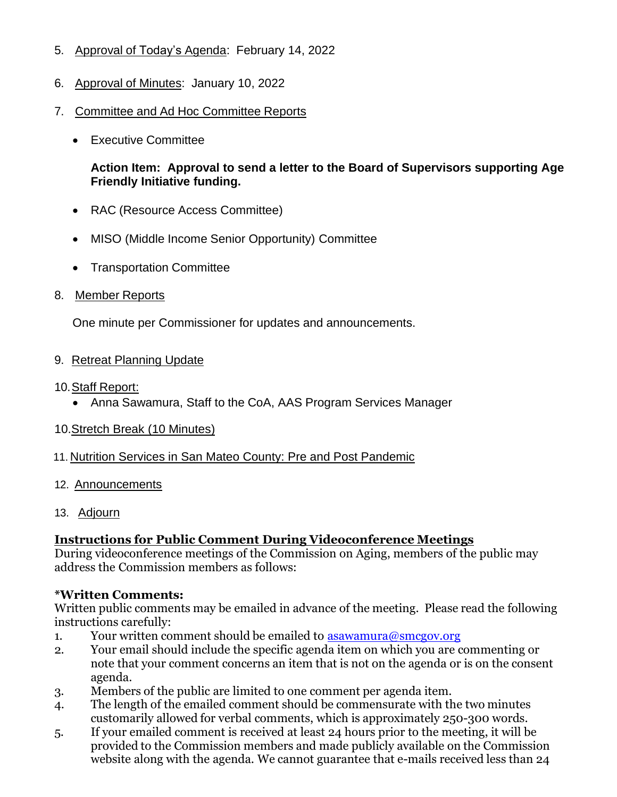- 5. Approval of Today's Agenda: February 14, 2022
- 6. Approval of Minutes: January 10, 2022
- 7. Committee and Ad Hoc Committee Reports
	- Executive Committee

#### **Action Item: Approval to send a letter to the Board of Supervisors supporting Age Friendly Initiative funding.**

- RAC (Resource Access Committee)
- MISO (Middle Income Senior Opportunity) Committee
- Transportation Committee
- 8. Member Reports

One minute per Commissioner for updates and announcements.

- 9. Retreat Planning Update
- 10.Staff Report:
	- Anna Sawamura, Staff to the CoA, AAS Program Services Manager
- 10.Stretch Break (10 Minutes)
- 11. Nutrition Services in San Mateo County: Pre and Post Pandemic
- 12. Announcements
- 13. Adjourn

## **Instructions for Public Comment During Videoconference Meetings**

During videoconference meetings of the Commission on Aging, members of the public may address the Commission members as follows:

## **\*Written Comments:**

Written public comments may be emailed in advance of the meeting. Please read the following instructions carefully:

- 1. Your written comment should be emailed to  $\frac{1}{\text{asawamura}(Q\text{smcgov.org})}$
- 2. Your email should include the specific agenda item on which you are commenting or note that your comment concerns an item that is not on the agenda or is on the consent agenda.
- 3. Members of the public are limited to one comment per agenda item.
- 4. The length of the emailed comment should be commensurate with the two minutes customarily allowed for verbal comments, which is approximately 250-300 words.
- 5. If your emailed comment is received at least 24 hours prior to the meeting, it will be provided to the Commission members and made publicly available on the Commission website along with the agenda. We cannot guarantee that e-mails received less than 24